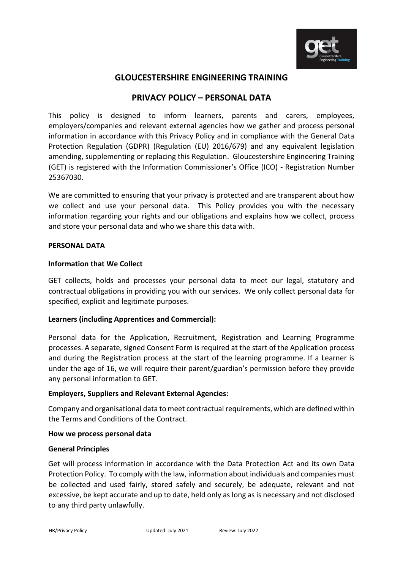

# **GLOUCESTERSHIRE ENGINEERING TRAINING**

# **PRIVACY POLICY – PERSONAL DATA**

This policy is designed to inform learners, parents and carers, employees, employers/companies and relevant external agencies how we gather and process personal information in accordance with this Privacy Policy and in compliance with the General Data Protection Regulation (GDPR) (Regulation (EU) 2016/679) and any equivalent legislation amending, supplementing or replacing this Regulation. Gloucestershire Engineering Training (GET) is registered with the Information Commissioner's Office (ICO) - Registration Number 25367030.

We are committed to ensuring that your privacy is protected and are transparent about how we collect and use your personal data. This Policy provides you with the necessary information regarding your rights and our obligations and explains how we collect, process and store your personal data and who we share this data with.

#### **PERSONAL DATA**

#### **Information that We Collect**

GET collects, holds and processes your personal data to meet our legal, statutory and contractual obligations in providing you with our services. We only collect personal data for specified, explicit and legitimate purposes.

### **Learners (including Apprentices and Commercial):**

Personal data for the Application, Recruitment, Registration and Learning Programme processes. A separate, signed Consent Form is required at the start of the Application process and during the Registration process at the start of the learning programme. If a Learner is under the age of 16, we will require their parent/guardian's permission before they provide any personal information to GET.

### **Employers, Suppliers and Relevant External Agencies:**

Company and organisational data to meet contractual requirements, which are defined within the Terms and Conditions of the Contract.

### **How we process personal data**

### **General Principles**

Get will process information in accordance with the Data Protection Act and its own Data Protection Policy. To comply with the law, information about individuals and companies must be collected and used fairly, stored safely and securely, be adequate, relevant and not excessive, be kept accurate and up to date, held only as long as is necessary and not disclosed to any third party unlawfully.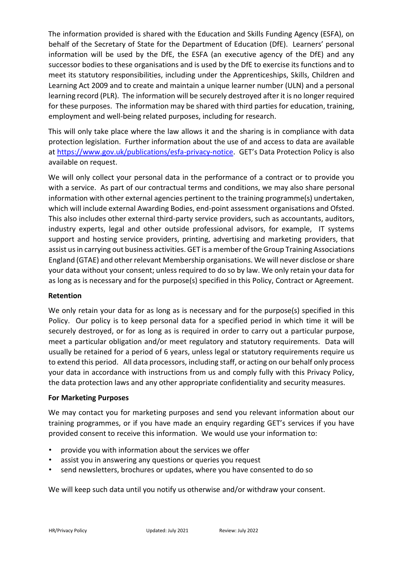The information provided is shared with the Education and Skills Funding Agency (ESFA), on behalf of the Secretary of State for the Department of Education (DfE). Learners' personal information will be used by the DfE, the ESFA (an executive agency of the DfE) and any successor bodies to these organisations and is used by the DfE to exercise its functions and to meet its statutory responsibilities, including under the Apprenticeships, Skills, Children and Learning Act 2009 and to create and maintain a unique learner number (ULN) and a personal learning record (PLR). The information will be securely destroyed after it is no longer required for these purposes. The information may be shared with third parties for education, training, employment and well-being related purposes, including for research.

This will only take place where the law allows it and the sharing is in compliance with data protection legislation. Further information about the use of and access to data are available at [https://www.gov.uk/publications/esfa-privacy-notice.](https://www.gov.uk/publications/esfa-privacy-notice) GET's Data Protection Policy is also available on request.

We will only collect your personal data in the performance of a contract or to provide you with a service. As part of our contractual terms and conditions, we may also share personal information with other external agencies pertinent to the training programme(s) undertaken, which will include external Awarding Bodies, end-point assessment organisations and Ofsted. This also includes other external third-party service providers, such as accountants, auditors, industry experts, legal and other outside professional advisors, for example, IT systems support and hosting service providers, printing, advertising and marketing providers, that assist us in carrying out business activities. GET is a member of the Group Training Associations England (GTAE) and other relevant Membership organisations. We will never disclose or share your data without your consent; unless required to do so by law. We only retain your data for as long as is necessary and for the purpose(s) specified in this Policy, Contract or Agreement.

### **Retention**

We only retain your data for as long as is necessary and for the purpose(s) specified in this Policy. Our policy is to keep personal data for a specified period in which time it will be securely destroyed, or for as long as is required in order to carry out a particular purpose, meet a particular obligation and/or meet regulatory and statutory requirements. Data will usually be retained for a period of 6 years, unless legal or statutory requirements require us to extend this period. All data processors, including staff, or acting on our behalf only process your data in accordance with instructions from us and comply fully with this Privacy Policy, the data protection laws and any other appropriate confidentiality and security measures.

# **For Marketing Purposes**

We may contact you for marketing purposes and send you relevant information about our training programmes, or if you have made an enquiry regarding GET's services if you have provided consent to receive this information. We would use your information to:

- provide you with information about the services we offer
- assist you in answering any questions or queries you request
- send newsletters, brochures or updates, where you have consented to do so

We will keep such data until you notify us otherwise and/or withdraw your consent.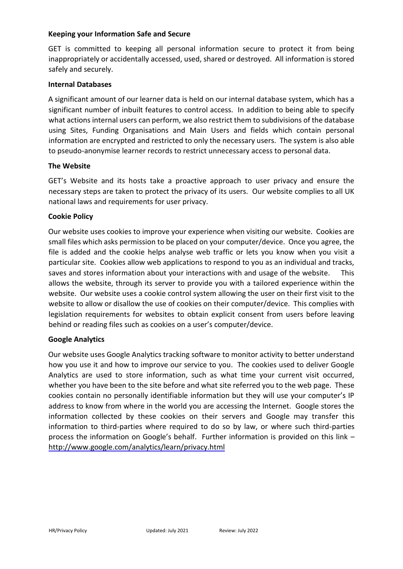### **Keeping your Information Safe and Secure**

GET is committed to keeping all personal information secure to protect it from being inappropriately or accidentally accessed, used, shared or destroyed. All information is stored safely and securely.

### **Internal Databases**

A significant amount of our learner data is held on our internal database system, which has a significant number of inbuilt features to control access. In addition to being able to specify what actions internal users can perform, we also restrict them to subdivisions of the database using Sites, Funding Organisations and Main Users and fields which contain personal information are encrypted and restricted to only the necessary users. The system is also able to pseudo-anonymise learner records to restrict unnecessary access to personal data.

### **The Website**

GET's Website and its hosts take a proactive approach to user privacy and ensure the necessary steps are taken to protect the privacy of its users. Our website complies to all UK national laws and requirements for user privacy.

### **Cookie Policy**

Our website uses cookies to improve your experience when visiting our website. Cookies are small files which asks permission to be placed on your computer/device. Once you agree, the file is added and the cookie helps analyse web traffic or lets you know when you visit a particular site. Cookies allow web applications to respond to you as an individual and tracks, saves and stores information about your interactions with and usage of the website. This allows the website, through its server to provide you with a tailored experience within the website. Our website uses a cookie control system allowing the user on their first visit to the website to allow or disallow the use of cookies on their computer/device. This complies with legislation requirements for websites to obtain explicit consent from users before leaving behind or reading files such as cookies on a user's computer/device.

# **Google Analytics**

Our website uses Google Analytics tracking software to monitor activity to better understand how you use it and how to improve our service to you. The cookies used to deliver Google Analytics are used to store information, such as what time your current visit occurred, whether you have been to the site before and what site referred you to the web page. These cookies contain no personally identifiable information but they will use your computer's IP address to know from where in the world you are accessing the Internet. Google stores the information collected by these cookies on their servers and Google may transfer this information to third-parties where required to do so by law, or where such third-parties process the information on Google's behalf. Further information is provided on this link – <http://www.google.com/analytics/learn/privacy.html>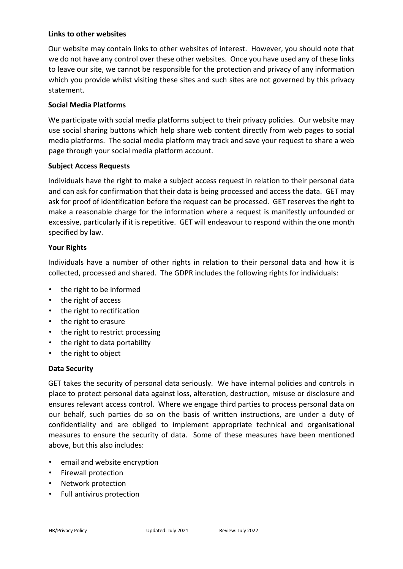### **Links to other websites**

Our website may contain links to other websites of interest. However, you should note that we do not have any control over these other websites. Once you have used any of these links to leave our site, we cannot be responsible for the protection and privacy of any information which you provide whilst visiting these sites and such sites are not governed by this privacy statement.

## **Social Media Platforms**

We participate with social media platforms subject to their privacy policies. Our website may use social sharing buttons which help share web content directly from web pages to social media platforms. The social media platform may track and save your request to share a web page through your social media platform account.

### **Subject Access Requests**

Individuals have the right to make a subject access request in relation to their personal data and can ask for confirmation that their data is being processed and access the data. GET may ask for proof of identification before the request can be processed. GET reserves the right to make a reasonable charge for the information where a request is manifestly unfounded or excessive, particularly if it is repetitive. GET will endeavour to respond within the one month specified by law.

### **Your Rights**

Individuals have a number of other rights in relation to their personal data and how it is collected, processed and shared. The GDPR includes the following rights for individuals:

- the right to be informed
- the right of access
- the right to rectification
- the right to erasure
- the right to restrict processing
- the right to data portability
- the right to object

# **Data Security**

GET takes the security of personal data seriously. We have internal policies and controls in place to protect personal data against loss, alteration, destruction, misuse or disclosure and ensures relevant access control. Where we engage third parties to process personal data on our behalf, such parties do so on the basis of written instructions, are under a duty of confidentiality and are obliged to implement appropriate technical and organisational measures to ensure the security of data. Some of these measures have been mentioned above, but this also includes:

- email and website encryption
- Firewall protection
- Network protection
- Full antivirus protection